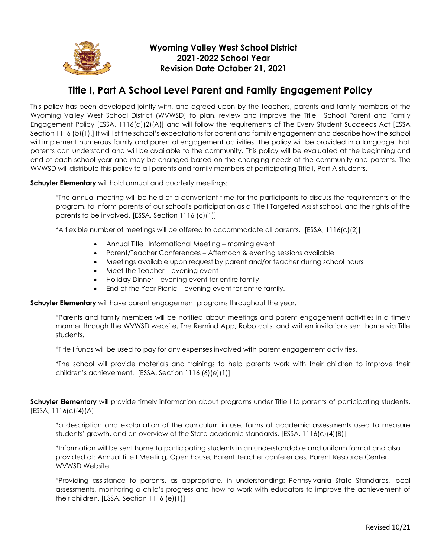

## **Wyoming Valley West School District 2021-2022 School Year Revision Date October 21, 2021**

## **Title I, Part A School Level Parent and Family Engagement Policy**

This policy has been developed jointly with, and agreed upon by the teachers, parents and family members of the Wyoming Valley West School District (WVWSD) to plan, review and improve the Title I School Parent and Family Engagement Policy [ESSA, 1116(a)(2)(A)] and will follow the requirements of The Every Student Succeeds Act [ESSA Section 1116 (b)(1).] It will list the school's expectations for parent and family engagement and describe how the school will implement numerous family and parental engagement activities. The policy will be provided in a language that parents can understand and will be available to the community. This policy will be evaluated at the beginning and end of each school year and may be changed based on the changing needs of the community and parents. The WVWSD will distribute this policy to all parents and family members of participating Title I, Part A students.

**Schuyler Elementary** will hold annual and quarterly meetings:

\*The annual meeting will be held at a convenient time for the participants to discuss the requirements of the program, to inform parents of our school's participation as a Title I Targeted Assist school, and the rights of the parents to be involved. [ESSA, Section 1116 (c)(1)]

\*A flexible number of meetings will be offered to accommodate all parents. [ESSA, 1116(c)(2)]

- Annual Title I Informational Meeting morning event
- Parent/Teacher Conferences Afternoon & evening sessions available
- Meetings available upon request by parent and/or teacher during school hours
- Meet the Teacher evening event
- Holiday Dinner evening event for entire family
- End of the Year Picnic evening event for entire family.

**Schuyler Elementary** will have parent engagement programs throughout the year.

\*Parents and family members will be notified about meetings and parent engagement activities in a timely manner through the WVWSD website, The Remind App, Robo calls, and written invitations sent home via Title students.

\*Title I funds will be used to pay for any expenses involved with parent engagement activities.

\*The school will provide materials and trainings to help parents work with their children to improve their children's achievement. [ESSA, Section 1116 (6)(e)(1)]

**Schuyler Elementary** will provide timely information about programs under Title I to parents of participating students.  $[ESSA, 1116(c)(4)(A)]$ 

\*a description and explanation of the curriculum in use, forms of academic assessments used to measure students' growth, and an overview of the State academic standards. [ESSA, 1116(c)(4)(B)]

\*Information will be sent home to participating students in an understandable and uniform format and also provided at: Annual title I Meeting, Open house, Parent Teacher conferences, Parent Resource Center, WVWSD Website.

\*Providing assistance to parents, as appropriate, in understanding: Pennsylvania State Standards, local assessments, monitoring a child's progress and how to work with educators to improve the achievement of their children. [ESSA, Section 1116 (e)(1)]